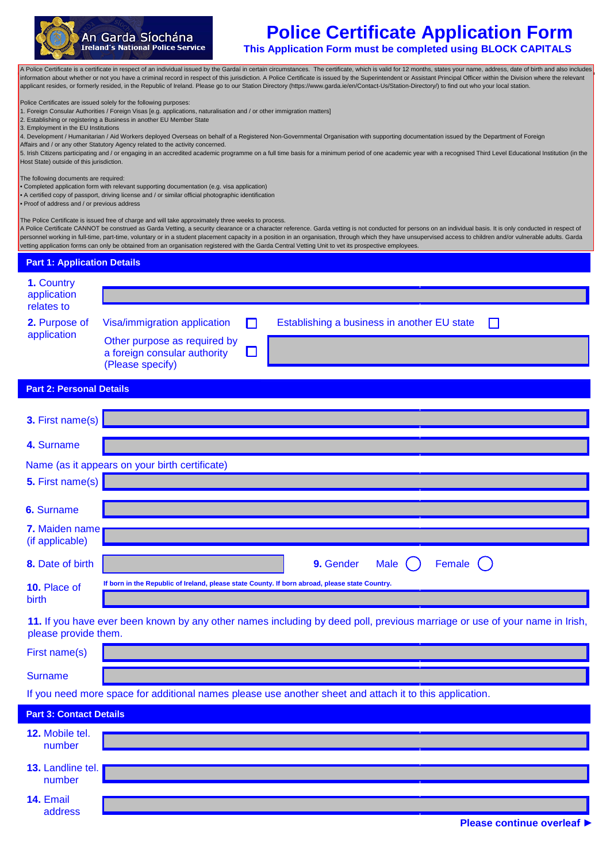

# **Police Certificate Application Form**

**ExploreFollow Form This Application Form must be completed using BLOCK CAPITALS** 

In about whether or not you have a criminal record in respect of this jurisdiction. A Police Certificate is issued by the Superint<br>Fosides ar formatly resided in the Penublic of Ireland. Please go to our Station Directory applicant resides, or formerly resided, in the Republic of Ireland. Please go to our Station Directory (https://www.garda.ie/en/Contact-Us/Station-Directory/) to find out who your local station.<br> A Police Certificate is a certificate in respect of an individual issued by the Gardaí in certain circumstances. The certificate, which is valid for 12 months, states your name, address, date of birth and also includes information about whether or not you have a criminal record in respect of this jurisdiction. A Police Certificate is issued by the Superintendent or Assistant Principal Officer within the Division where the relevant

Police Certificates are issued solely for the following purposes:

1. Foreign Consular Authorities / Foreign Visas [e.g. applications, naturalisation and / or other immigration matters]

A Police Certificate **CANNOT** be construed as Garda vetting, a security clearance or a character reference. 2. Establishing or registering a Business in another EU Member State

3. Employment in the EU Institutions

is is not conducted for persons on an individual basis of contempt in respective with supporting documentation issued by the Department of Escaing. It is under the personnel of personnel working in full-time, and in the pe 4. Development / Humanitarian / Aid Workers deployed Overseas on behalf of a Registered Non-Governmental Organisation with supporting documentation issued by the Department of Foreign<br>Affairs and / or anv other Statutory

Affairs and / or any other Statutory Agency related to the activity concerned.

ng and / or engaging in an accredited academic programme on a full time basis for a minimum period of one academic year with a recognised Third Level Educational Institut 5. Irish Citizens participating and / or engaging in an accredited academic programme on a full time basis for a minimum period of one academic year with a recognised Third Level Educational Institution (in the<br>Host State) Host State) outside of this jurisdiction.

 $\mathcal{A}$  police Certificate is isourched in the District where the  $\mathcal{A}$  police  $\mathcal{A}$ The following documents are required:

address

The following documents are required.<br>• Completed application form with relevant supporting documentation (e.g. visa application)

• A certified copy of passport, driving license and / or similar official photographic identification

• Proof of address and / or previous address  $\overline{\phantom{a}}$ 

The Police Certificate is issued free of charge and will take approximately three weeks to process.

A Police Certificate CANNOT be construed as Garda Vetting, a security clearance or a character reference. Garda vetting is not conducted for persons on an individual basis. It is only conducted in respect of personnel working in full-time, part-time, voluntary or in a student placement capacity in a position in an organisation, through which they have unsupervised access to children and/or vulnerable adults. Garda vetting application forms can only be obtained from an organisation registered with the Garda Central Vetting Unit to vet its prospective employees.

| <b>Part 1: Application Details</b>                        |                                                                                                                            |
|-----------------------------------------------------------|----------------------------------------------------------------------------------------------------------------------------|
| 1. Country                                                |                                                                                                                            |
| application<br>relates to<br>2. Purpose of<br>application |                                                                                                                            |
|                                                           | Visa/immigration application<br>Establishing a business in another EU state<br>П<br>$\Box$                                 |
|                                                           | Other purpose as required by<br>a foreign consular authority<br>L<br>(Please specify)                                      |
| <b>Part 2: Personal Details</b>                           |                                                                                                                            |
| 3. First name(s)                                          |                                                                                                                            |
| 4. Surname                                                |                                                                                                                            |
|                                                           | Name (as it appears on your birth certificate)                                                                             |
| 5. First name(s)                                          |                                                                                                                            |
| 6. Surname                                                |                                                                                                                            |
| 7. Maiden name<br>(if applicable)                         |                                                                                                                            |
| 8. Date of birth                                          | Female<br>9. Gender<br><b>Male</b>                                                                                         |
| 10. Place of<br>birth                                     | If born in the Republic of Ireland, please state County. If born abroad, please state Country.                             |
| please provide them.                                      | 11. If you have ever been known by any other names including by deed poll, previous marriage or use of your name in Irish, |
| First name(s)                                             |                                                                                                                            |
| <b>Surname</b>                                            |                                                                                                                            |
|                                                           | If you need more space for additional names please use another sheet and attach it to this application.                    |
| <b>Part 3: Contact Details</b>                            |                                                                                                                            |
| 12. Mobile tel.<br>number                                 |                                                                                                                            |
| 13. Landline tel.<br>number                               |                                                                                                                            |
| 14. Email                                                 |                                                                                                                            |

**Please continue overleaf ►**